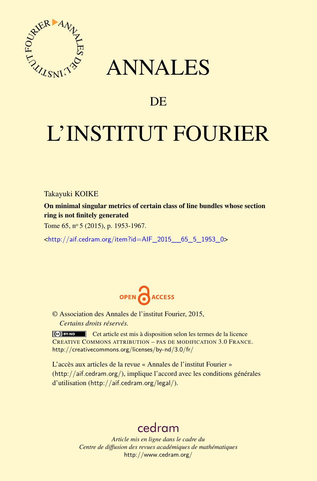<span id="page-0-0"></span>

# ANNALES

## **DE**

# L'INSTITUT FOURIER

Takayuki KOIKE

On minimal singular metrics of certain class of line bundles whose section ring is not finitely generated

Tome 65, nº 5 (2015), p. 1953-1967.

<[http://aif.cedram.org/item?id=AIF\\_2015\\_\\_65\\_5\\_1953\\_0](http://aif.cedram.org/item?id=AIF_2015__65_5_1953_0)>



© Association des Annales de l'institut Fourier, 2015, *Certains droits réservés.*

Cet article est mis à disposition selon les termes de la licence CREATIVE COMMONS ATTRIBUTION – PAS DE MODIFICATION 3.0 FRANCE. <http://creativecommons.org/licenses/by-nd/3.0/fr/>

L'accès aux articles de la revue « Annales de l'institut Fourier » (<http://aif.cedram.org/>), implique l'accord avec les conditions générales d'utilisation (<http://aif.cedram.org/legal/>).

## [cedram](http://www.cedram.org/)

*Article mis en ligne dans le cadre du Centre de diffusion des revues académiques de mathématiques* <http://www.cedram.org/>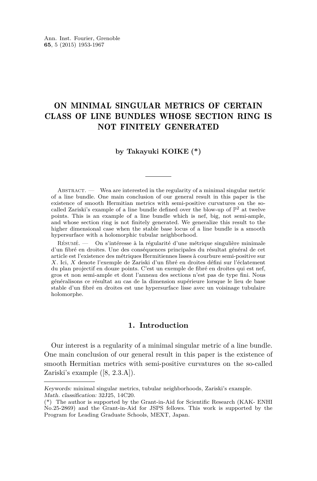## ON MINIMAL SINGULAR METRICS OF CERTAIN CLASS OF LINE BUNDLES WHOSE SECTION RING IS NOT FINITELY GENERATED

## **by Takayuki KOIKE (\*)**

ABSTRACT.  $\qquad$  Wea are interested in the regularity of a minimal singular metric of a line bundle. One main conclusion of our general result in this paper is the existence of smooth Hermitian metrics with semi-positive curvatures on the socalled Zariski's example of a line bundle defined over the blow-up of  $\mathbb{P}^2$  at twelve points. This is an example of a line bundle which is nef, big, not semi-ample, and whose section ring is not finitely generated. We generalize this result to the higher dimensional case when the stable base locus of a line bundle is a smooth hypersurface with a holomorphic tubular neighborhood.

Résumé. — On s'intéresse à la régularité d'une métrique singulière minimale d'un fibré en droites. Une des conséquences principales du résultat général de cet article est l'existence des métriques Hermitiennes lisses à courbure semi-positive sur *X*. Ici, *X* denote l'exemple de Zariski d'un fibré en droites défini sur l'éclatement du plan projectif en douze points. C'est un exemple de fibré en droites qui est nef, gros et non semi-ample et dont l'anneau des sections n'est pas de type fini. Nous généralisons ce résultat au cas de la dimension supérieure lorsque le lieu de base stable d'un fibré en droites est une hypersurface lisse avec un voisinage tubulaire holomorphe.

## **1. Introduction**

Our interest is a regularity of a minimal singular metric of a line bundle. One main conclusion of our general result in this paper is the existence of smooth Hermitian metrics with semi-positive curvatures on the so-called Zariski's example ([\[8,](#page-15-0) 2.3.A]).

Keywords: minimal singular metrics, tubular neighborhoods, Zariski's example. Math. classification: 32J25, 14C20.

<sup>(\*)</sup> The author is supported by the Grant-in-Aid for Scientific Research (KAK- ENHI No.25-2869) and the Grant-in-Aid for JSPS fellows. This work is supported by the Program for Leading Graduate Schools, MEXT, Japan.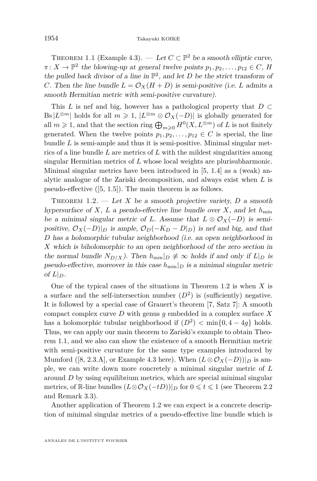<span id="page-2-0"></span>THEOREM 1.1 (Example [4.3\)](#page-14-0). — Let  $C \subset \mathbb{P}^2$  be a smooth elliptic curve,  $\pi: X \to \mathbb{P}^2$  the blowing-up at general twelve points  $p_1, p_2, \ldots, p_{12} \in C$ , *H* the pulled back divisor of a line in  $\mathbb{P}^2$ , and let *D* be the strict transform of *C*. Then the line bundle  $L = \mathcal{O}_X(H + D)$  is semi-positive (i.e. *L* admits a smooth Hermitian metric with semi-positive curvature).

This *L* is nef and big, however has a pathological property that  $D \subset$  $\text{Bs}|L^{\otimes m}|$  holds for all  $m \geq 1$ ,  $|L^{\otimes m} \otimes \mathcal{O}_X(-D)|$  is globally generated for all  $m \geq 1$ , and that the section ring  $\bigoplus_{m\geq 0} H^0(X, L^{\otimes m})$  of *L* is not finitely generated. When the twelve points  $p_1, p_2, \ldots, p_{12} \in C$  is special, the line bundle *L* is semi-ample and thus it is semi-positive. Minimal singular metrics of a line bundle *L* are metrics of *L* with the mildest singularities among singular Hermitian metrics of *L* whose local weights are plurisubharmonic. Minimal singular metrics have been introduced in [\[5,](#page-15-0) 1.4] as a (weak) analytic analogue of the Zariski decomposition, and always exist when *L* is pseudo-effective ([\[5,](#page-15-0) 1.5]). The main theorem is as follows.

THEOREM 1.2. — Let *X* be a smooth projective variety, *D* a smooth hypersurface of *X*, *L* a pseudo-effective line bundle over *X*, and let  $h_{\min}$ be a minimal singular metric of *L*. Assume that  $L \otimes \mathcal{O}_X(-D)$  is semipositive,  $\mathcal{O}_X(-D)|_D$  is ample,  $\mathcal{O}_D(-K_D - D|_D)$  is nef and big, and that *D* has a holomorphic tubular neighborhood (i.e. an open neighborhood in *X* which is biholomorphic to an open neighborhood of the zero section in the normal bundle  $N_{D/X}$ ). Then  $h_{\min}|_D \neq \infty$  holds if and only if  $L|_D$  is pseudo-effective, moreover in this case  $h_{\text{min}}|_D$  is a minimal singular metric of  $L|_D$ .

One of the typical cases of the situations in Theorem 1.2 is when *X* is a surface and the self-intersection number  $(D^2)$  is (sufficiently) negative. It is followed by a special case of Grauert's theorem [\[7,](#page-15-0) Satz 7]: A smooth compact complex curve *D* with genus *g* embedded in a complex surface *X* has a holomorphic tubular neighborhood if  $(D^2) < \min\{0, 4 - 4g\}$  holds. Thus, we can apply our main theorem to Zariski's example to obtain Theorem 1.1, and we also can show the existence of a smooth Hermitian metric with semi-positive curvature for the same type examples introduced by Mumford ([\[8,](#page-15-0) 2.3.A], or Example [4.3](#page-14-0) here). When  $(L \otimes \mathcal{O}_X(-D))|_D$  is ample, we can write down more concretely a minimal singular metric of *L* around *D* by using equilibrium metrics, which are special minimal singular metrics, of R-line bundles  $(L \otimes \mathcal{O}_X(-tD))|_D$  for  $0 \le t \le 1$  (see Theorem [2.2](#page-4-0) and Remark [3.3\)](#page-13-0).

Another application of Theorem 1.2 we can expect is a concrete description of minimal singular metrics of a pseudo-effective line bundle which is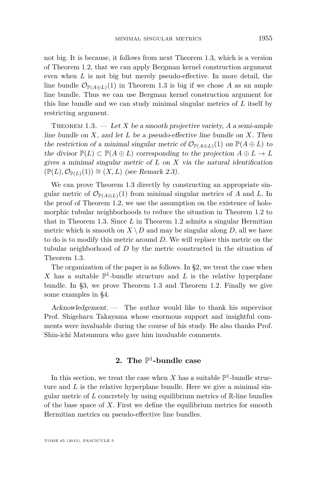<span id="page-3-0"></span>not big. It is because, it follows from next Theorem 1.3, which is a version of Theorem [1.2,](#page-2-0) that we can apply Bergman kernel construction argument even when *L* is not big but merely pseudo-effective. In more detail, the line bundle  $\mathcal{O}_{\mathbb{P}(A\oplus L)}(1)$  in Theorem 1.3 is big if we chose A as an ample line bundle. Thus we can use Bergman kernel construction argument for this line bundle and we can study minimal singular metrics of *L* itself by restricting argument.

THEOREM  $1.3.$  — Let X be a smooth projective variety, A a semi-ample line bundle on *X*, and let *L* be a pseudo-effective line bundle on *X*. Then the restriction of a minimal singular metric of  $\mathcal{O}_{\mathbb{P}(A \oplus L)}(1)$  on  $\mathbb{P}(A \oplus L)$  to the divisor  $\mathbb{P}(L) \subset \mathbb{P}(A \oplus L)$  corresponding to the projection  $A \oplus L \to L$ gives a minimal singular metric of *L* on *X* via the natural identification  $(\mathbb{P}(L), \mathcal{O}_{\mathbb{P}(L)}(1)) \cong (X, L)$  (see Remark [2.3\)](#page-4-0).

We can prove Theorem 1.3 directly by constructing an appropriate singular metric of  $\mathcal{O}_{\mathbb{P}(A \oplus L)}(1)$  from minimal singular metrics of *A* and *L*. In the proof of Theorem [1.2,](#page-2-0) we use the assumption on the existence of holomorphic tubular neighborhoods to reduce the situation in Theorem [1.2](#page-2-0) to that in Theorem 1.3. Since *L* in Theorem [1.2](#page-2-0) admits a singular Hermitian metric which is smooth on  $X \setminus D$  and may be singular along *D*, all we have to do is to modify this metric around *D*. We will replace this metric on the tubular neighborhood of *D* by the metric constructed in the situation of Theorem 1.3.

The organization of the paper is as follows. In §2, we treat the case when X has a suitable  $\mathbb{P}^1$ -bundle structure and *L* is the relative hyperplane bundle. In §3, we prove Theorem 1.3 and Theorem [1.2.](#page-2-0) Finally we give some examples in §4.

Acknowledgement. — The author would like to thank his supervisor Prof. Shigeharu Takayama whose enormous support and insightful comments were invaluable during the course of his study. He also thanks Prof. Shin-ichi Matsumura who gave him invaluable comments.

## **2. The** P 1 **-bundle case**

In this section, we treat the case when  $X$  has a suitable  $\mathbb{P}^1$ -bundle structure and *L* is the relative hyperplane bundle. Here we give a minimal singular metric of *L* concretely by using equilibrium metrics of R-line bundles of the base space of *X*. First we define the equilibrium metrics for smooth Hermitian metrics on pseudo-effective line bundles.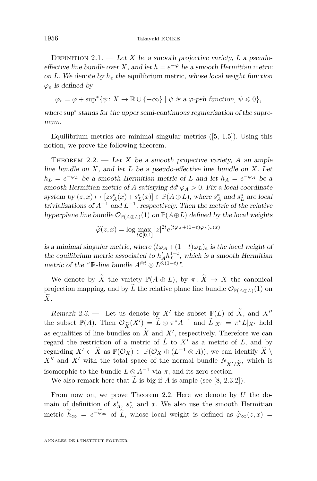<span id="page-4-0"></span>DEFINITION 2.1. — Let *X* be a smooth projective variety, *L* a pseudoeffective line bundle over *X*, and let  $h = e^{-\varphi}$  be a smooth Hermitian metric on  $L$ . We denote by  $h_e$  the equilibrium metric, whose local weight function  $\varphi_e$  is defined by

$$
\varphi_e = \varphi + \sup^* \{ \psi \colon X \to \mathbb{R} \cup \{ -\infty \} \mid \psi \text{ is a } \varphi\text{-psh function, } \psi \leq 0 \},
$$

where sup<sup>∗</sup> stands for the upper semi-continuous regularization of the supremum.

Equilibrium metrics are minimal singular metrics  $([5, 1.5])$  $([5, 1.5])$  $([5, 1.5])$ . Using this notion, we prove the following theorem.

THEOREM 2.2. — Let *X* be a smooth projective variety, *A* an ample line bundle on *X*, and let *L* be a pseudo-effective line bundle on *X*. Let  $h_L = e^{-\varphi_L}$  be a smooth Hermitian metric of *L* and let  $h_A = e^{-\varphi_A}$  be a smooth Hermitian metric of *A* satisfying  $dd^c \varphi_A > 0$ . Fix a local coordinate system by  $(z, x) \mapsto [zs_A^*(x) + s_L^*(x)] \in \mathbb{P}(A \oplus L)$ , where  $s_A^*$  and  $s_L^*$  are local trivializations of  $A^{-1}$  and  $L^{-1}$ , respectively. Then the metric of the relative hyperplane line bundle  $\mathcal{O}_{\mathbb{P}(A \oplus L)}(1)$  on  $\mathbb{P}(A \oplus L)$  defined by the local weights

$$
\widetilde{\varphi}(z,x) = \log \max_{t \in [0,1]} |z|^{2t} e^{(t\varphi_A + (1-t)\varphi_L)_e(x)}
$$

is a minimal singular metric, where  $(t\varphi_A + (1-t)\varphi_L)_e$  is the local weight of the equilibrium metric associated to  $h_A^t h_L^{1-t}$ , which is a smooth Hermitian metric of the " $\mathbb{R}$ -line bundle  $A^{\otimes t} \otimes L^{\otimes (1-t)}$ ".

We denote by  $\widetilde{X}$  the variety  $\mathbb{P}(A \oplus L)$ , by  $\pi: \widetilde{X} \to X$  the canonical projection mapping, and by  $\widetilde{L}$  the relative plane line bundle  $\mathcal{O}_{\mathbb{P}(A\oplus L)}(1)$  on  $\widetilde{X}$ .

Remark 2.3. — Let us denote by *X'* the subset  $\mathbb{P}(L)$  of  $\widetilde{X}$ , and *X''* the subset  $\mathbb{P}(A)$ . Then  $\mathcal{O}_{\widetilde{X}}(X') = \widetilde{L} \otimes \pi^* A^{-1}$  and  $\widetilde{L}|_{X'} = \pi^* L|_{X'}$  hold<br>as equalities of line bundles on  $\widetilde{X}$  and  $X'$  respectively. Therefore we can as equalities of line bundles on  $\widetilde{X}$  and  $X'$ , respectively. Therefore we can regard the restriction of a metric of  $\tilde{L}$  to  $X'$  as a metric of  $L$ , and by regarding  $X' \subset \widetilde{X}$  as  $\mathbb{P}(\mathcal{O}_X) \subset \mathbb{P}(\mathcal{O}_X \oplus (L^{-1} \otimes A))$ , we can identify  $\widetilde{X} \setminus \mathbb{R}^n$ *X*<sup>0</sup> and *X*<sup>*i*</sup> with the total space of the normal bundle  $N_{X'/\widetilde{X}}$ , which is isomorphic to the bundle  $L \otimes A^{-1}$  via  $\pi$ , and its zero-section isomorphic to the bundle  $L \otimes A^{-1}$  via  $\pi$ , and its zero-section.

We also remark here that  $\tilde{L}$  is big if *A* is ample (see [\[8,](#page-15-0) 2.3.2]).

From now on, we prove Theorem 2.2. Here we denote by *U* the domain of definition of  $s_A^*$ ,  $s_L^*$  and *x*. We also use the smooth Hermitian metric  $h_{\infty} = e^{-\varphi_{\infty}}$  of  $\tilde{L}$ , whose local weight is defined as  $\tilde{\varphi}_{\infty}(z, x) =$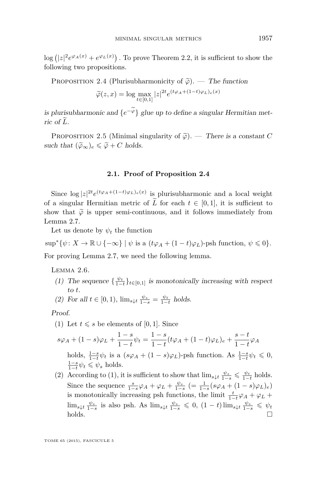<span id="page-5-0"></span> $\log (|z|^2 e^{\varphi_A(x)} + e^{\varphi_L(x)})$ . To prove Theorem [2.2,](#page-4-0) it is sufficient to show the following two propositions.

PROPOSITION 2.4 (Plurisubharmonicity of  $\tilde{\varphi}$ ). — The function

$$
\widetilde{\varphi}(z,x)=\log\max_{t\in[0,1]}|z|^{2t}e^{(t\varphi_A+(1-t)\varphi_L)_e(x)}
$$

is plurisubharmonic and  $\{e^{-\varphi}\}\$  glue up to define a singular Hermitian metric of  $\tilde{L}$ .

PROPOSITION 2.5 (Minimal singularity of  $\tilde{\varphi}$ ). — There is a constant *C* such that  $(\widetilde{\varphi}_{\infty})_e \leq \widetilde{\varphi} + C$  holds.

### **2.1. Proof of Proposition 2.4**

Since  $\log |z|^{2t} e^{(t\varphi_A + (1-t)\varphi_L) e(x)}$  is plurisubharmonic and a local weight of a singular Hermitian metric of  $\tilde{L}$  for each  $t \in [0,1]$ , it is sufficient to show that  $\tilde{\varphi}$  is upper semi-continuous, and it follows immediately from Lemma [2.7.](#page-6-0)

Let us denote by  $\psi_t$  the function

$$
\sup^* \{ \psi \colon X \to \mathbb{R} \cup \{ -\infty \} \mid \psi \text{ is a } (t\varphi_A + (1-t)\varphi_L) \text{-psh function, } \psi \leq 0 \}.
$$

For proving Lemma [2.7,](#page-6-0) we need the following lemma.

Lemma 2.6.

- (1) The sequence  $\{\frac{\psi_t}{1-t}\}_{t\in[0,1]}$  is monotonically increasing with respect to *t*.
- (2) For all  $t \in [0, 1)$ ,  $\lim_{s \downarrow t} \frac{\psi_s}{1 s} = \frac{\psi_t}{1 t}$  holds.

Proof.

(1) Let  $t \leq s$  be elements of [0, 1]. Since

$$
s\varphi_A + (1-s)\varphi_L + \frac{1-s}{1-t}\psi_t = \frac{1-s}{1-t}(t\varphi_A + (1-t)\varphi_L)_e + \frac{s-t}{1-t}\varphi_A
$$
  
holds,  $\frac{1-s}{1-t}\psi_t$  is a  $(s\varphi_A + (1-s)\varphi_L)$ -psh function. As  $\frac{1-s}{1-t}\psi_t \le 0$ ,

$$
\frac{1-s}{1-t}\psi_t \leqslant \psi_s \text{ holds.}
$$

(2) According to (1), it is sufficient to show that  $\lim_{s \downarrow t} \frac{\psi_s}{1-s} \leq \frac{\psi_t}{1-t}$  holds. Since the sequence  $\frac{s}{1-s}\varphi_A + \varphi_L + \frac{\psi_s}{1-s}$   $(=\frac{1}{1-s}(s\varphi_A + (1-s)\varphi_L)_e)$ is monotonically increasing psh functions, the limit  $\frac{t}{1-t}\varphi_A + \varphi_L +$  $\lim_{s \downarrow t} \frac{\psi_s}{1-s}$  is also psh. As  $\lim_{s \downarrow t} \frac{\psi_s}{1-s} \leq 0$ ,  $(1-t) \lim_{s \downarrow t} \frac{\psi_s}{1-s} \leq \psi_t$  $holds.$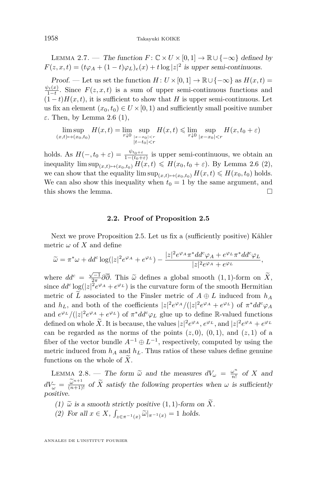<span id="page-6-0"></span>LEMMA 2.7. — The function  $F: \mathbb{C} \times U \times [0,1] \to \mathbb{R} \cup \{-\infty\}$  defined by  $F(z, x, t) = (t\varphi_A + (1 - t)\varphi_L)_e(x) + t\log|z|^2$  is upper semi-continuous.

Proof. — Let us set the function  $H: U \times [0, 1] \to \mathbb{R} \cup \{-\infty\}$  as  $H(x, t) =$  $\frac{\psi_t(x)}{1-t}$ . Since  $F(z, x, t)$  is a sum of upper semi-continuous functions and  $(1-t)H(x,t)$ , it is sufficient to show that *H* is upper semi-continuous. Let us fix an element  $(x_0, t_0) \in U \times [0, 1)$  and sufficiently small positive number *ε*. Then, by Lemma [2.6](#page-5-0) (1),

$$
\limsup_{(x,t)\mapsto(x_0,t_0)} H(x,t) = \lim_{r\downarrow 0} \sup_{\substack{|x-x_0|
$$

holds. As  $H(-, t_0 + \varepsilon) = \frac{\psi_{t_0 + \varepsilon}}{1 - (t_0 + \varepsilon)}$  is upper semi-continuous, we obtain an inequality  $\limsup_{(x,t)\mapsto(x_0,t_0)} H(x,t) \leq H(x_0,t_0+\varepsilon)$ . By Lemma [2.6](#page-5-0) (2), we can show that the equality  $\limsup_{(x,t)\mapsto(x_0,t_0)} H(x,t) \le H(x_0,t_0)$  holds. We can also show this inequality when  $t_0 = 1$  by the same argument, and this shows the lemma.

#### **2.2. Proof of Proposition [2.5](#page-5-0)**

Next we prove Proposition [2.5.](#page-5-0) Let us fix a (sufficiently positive) Kähler metric  $\omega$  of X and define

$$
\widetilde{\omega} = \pi^* \omega + dd^c \log(|z|^2 e^{\varphi_A} + e^{\varphi_L}) - \frac{|z|^2 e^{\varphi_A} \pi^* dd^c \varphi_A + e^{\varphi_L} \pi^* dd^c \varphi_L}{|z|^2 e^{\varphi_A} + e^{\varphi_L}}
$$

*,*

where  $dd^c = \frac{\sqrt{-1}}{2\pi} \partial \overline{\partial}$ . This  $\widetilde{\omega}$  defines a global smooth (1,1)-form on  $\widetilde{X}$ , since  $dd^c \log(|z|^2 e^{\varphi_A} + e^{\varphi_L})$  is the curvature form of the smooth Hermitian metric of  $\tilde{L}$  associated to the Finsler metric of  $A \oplus L$  induced from  $h_A$ and  $h_L$ , and both of the coefficients  $|z|^2 e^{\varphi_A}/(|z|^2 e^{\varphi_A} + e^{\varphi_L})$  of  $\pi^* d d^c \varphi_A$ and  $e^{\varphi_L}/(|z|^2 e^{\varphi_A} + e^{\varphi_L})$  of  $\pi^* dd^c \varphi_L$  glue up to define R-valued functions defined on whole  $\overline{X}$ . It is because, the values  $|z|^2 e^{\varphi A}$ ,  $e^{\varphi L}$ , and  $|z|^2 e^{\varphi A} + e^{\varphi L}$ can be regarded as the norms of the points  $(z, 0), (0, 1),$  and  $(z, 1)$  of a fiber of the vector bundle  $A^{-1} \oplus L^{-1}$ , respectively, computed by using the metric induced from  $h_A$  and  $h_L$ . Thus ratios of these values define genuine functions on the whole of  $X$ .

LEMMA 2.8. — The form  $\tilde{\omega}$  and the measures  $dV_{\omega} = \frac{\omega^n}{n!}$  $\frac{\omega^n}{n!}$  of *X* and  $dV_{\widetilde{\omega}} = \frac{\widetilde{\omega}^{n+1}}{(n+1)!}$  of  $\widetilde{X}$  satisfy the following properties when  $\omega$  is sufficiently positive. positive.

- (1)  $\tilde{\omega}$  is a smooth strictly positive (1, 1)-form on  $\tilde{X}$ .
- (2) For all  $x \in X$ ,  $\int_{z \in \pi^{-1}(x)} \tilde{\omega}|_{\pi^{-1}(x)} = 1$  holds.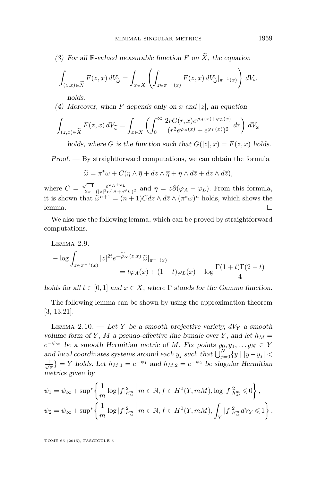<span id="page-7-0"></span>(3) For all R-valued measurable function *F* on  $\widetilde{X}$ , the equation

$$
\int_{(z,x)\in\widetilde{X}} F(z,x) dV_{\widetilde{\omega}} = \int_{x\in X} \left( \int_{z\in\pi^{-1}(x)} F(z,x) dV_{\widetilde{\omega}}|_{\pi^{-1}(x)} \right) dV_{\omega}
$$

holds.

(4) Moreover, when *F* depends only on *x* and |*z*|, an equation

$$
\int_{(z,x)\in\widetilde{X}} F(z,x) dV_{\widetilde{\omega}} = \int_{x\in X} \left( \int_0^\infty \frac{2rG(r,x)e^{\varphi_A(x) + \varphi_L(x)}}{(r^2e^{\varphi_A(x)} + e^{\varphi_L(x)})^2} dr \right) dV_{\omega}
$$

holds, where *G* is the function such that  $G(|z|, x) = F(z, x)$  holds.

Proof. — By straightforward computations, we can obtain the formula

$$
\widetilde{\omega} = \pi^* \omega + C(\eta \wedge \overline{\eta} + dz \wedge \overline{\eta} + \eta \wedge d\overline{z} + dz \wedge d\overline{z}),
$$

where  $C = \frac{\sqrt{-1}}{2\pi} \frac{e^{\varphi_A + \varphi_L}}{(|z|^2 e^{\varphi_A} + e^{\varphi_L})}$  $\frac{e^{\varphi_A + \varphi_L}}{(|z|^2 e^{\varphi_A} + e^{\varphi_L})^2}$  and  $\eta = z\partial(\varphi_A - \varphi_L)$ . From this formula, it is shown that  $\tilde{\omega}^{n+1} = (n+1)Cdz \wedge d\overline{z} \wedge (\pi^*\omega)^n$  holds, which shows the lemma. □

We also use the following lemma, which can be proved by straightforward computations.

LEMMA 2.9.  
\n
$$
-\log \int_{z \in \pi^{-1}(x)} |z|^{2t} e^{-\widetilde{\varphi}_{\infty}(z,x)} \widetilde{\omega}|_{\pi^{-1}(x)}
$$
\n
$$
= t\varphi_A(x) + (1-t)\varphi_L(x) - \log \frac{\Gamma(1+t)\Gamma(2-t)}{4}
$$

holds for all  $t \in [0, 1]$  and  $x \in X$ , where  $\Gamma$  stands for the Gamma function.

The following lemma can be shown by using the approximation theorem [\[3,](#page-15-0) 13.21].

LEMMA 2.10. — Let *Y* be a smooth projective variety,  $dV_Y$  a smooth volume form of *Y*, *M* a pseudo-effective line bundle over *Y*, and let  $h_M =$  $e^{-\psi_{\infty}}$  be a smooth Hermitian metric of *M*. Fix points  $y_0, y_1, \ldots, y_N \in Y$ and local coordinates systems around each  $y_j$  such that  $\bigcup_{j=0}^{N} \{y \mid |y-y_j| < \infty \}$  $\frac{1}{\sqrt{\pi}}$ } = *Y* holds. Let  $h_{M,1} = e^{-\psi_1}$  and  $h_{M,2} = e^{-\psi_2}$  be singular Hermitian metrics given by

$$
\psi_1 = \psi_{\infty} + \sup^* \left\{ \frac{1}{m} \log |f|^2_{h^m_M} \middle| m \in \mathbb{N}, f \in H^0(Y, mM), \log |f|^2_{h^m_M} \le 0 \right\},
$$
  

$$
\psi_2 = \psi_{\infty} + \sup^* \left\{ \frac{1}{m} \log |f|^2_{h^m_M} \middle| m \in \mathbb{N}, f \in H^0(Y, mM), \int_Y |f|^2_{h^m_M} dV_Y \le 1 \right\}.
$$

TOME 65 (2015), FASCICULE 5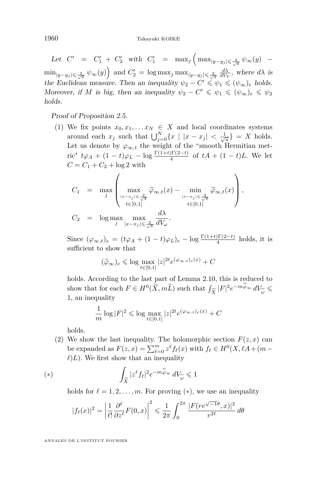Let  $C' = C'_1 + C'_2$  with  $C'_1 = \max_j \left( \max_{|y-y_j| \le \frac{2}{\sqrt{\pi}}} \psi_\infty(y) \right)$  $\min_{|y-y_j| \leq \frac{2}{\sqrt{\pi}}} \psi_\infty(y)$  and  $C'_2 = \log \max_j \max_{|y-y_j| \leq \frac{2}{\sqrt{\pi}}}$  $\frac{d\lambda}{dV_Y}$ , where  $d\lambda$  is the Euclidean measure. Then an inequality  $\psi_2 - C' \leq \psi_1 \leq (\psi_\infty)_e$  holds. Moreover, if *M* is big, then an inequality  $\psi_2 - C' \leq \psi_1 \leq (\psi_\infty)_e \leq \psi_2$ holds.

Proof of Proposition [2.5.](#page-5-0)

(1) We fix points  $x_0, x_1, \ldots x_N \in X$  and local coordinates systems around each  $x_j$  such that  $\bigcup_{j=0}^N \{x \mid |x-x_j| < \frac{1}{\sqrt{\pi}}\} = X$  holds. Let us denote by  $\varphi_{\infty,t}$  the weight of the "smooth Hermitian metric"  $t\varphi_A + (1-t)\varphi_L - \log \frac{\Gamma(1+t)\Gamma(2-t)}{4}$  of  $tA + (1-t)L$ . We let  $C = C_1 + C_2 + \log 2$  with

$$
C_1 = \max_{j} \left( \max_{\substack{|x - x_j| \leq \frac{2}{\sqrt{\pi}} \\ t \in [0,1]}} \widetilde{\varphi}_{\infty,t}(x) - \min_{\substack{|x - x_j| \leq \frac{2}{\sqrt{\pi}} \\ t \in [0,1]}} \widetilde{\varphi}_{\infty,t}(x) \right),
$$
  

$$
C_2 = \log \max_{j} \max_{|x - x_j| \leq \frac{2}{\sqrt{\pi}}} \frac{d\lambda}{dV_{\omega}}.
$$

Since  $(\varphi_{\infty,t})_e = (t\varphi_A + (1-t)\varphi_L)_e - \log \frac{\Gamma(1+t)\Gamma(2-t)}{4}$  holds, it is sufficient to show that

$$
(\widetilde{\varphi}_\infty)_e \leqslant \log \max_{t \in [0,1]} |z|^{2t} e^{(\varphi_{\infty,t})_e(x)} + C
$$

holds. According to the last part of Lemma [2.10,](#page-7-0) this is reduced to show that for each  $F \in H^0(\tilde{X}, m\tilde{L})$  such that  $\int_{\tilde{X}} |F|^2 e^{-m\tilde{\varphi}_{\infty}} dV_{\tilde{\omega}} \leqslant$ <br>1, an inequality 1, an inequality

$$
\frac{1}{m}\log|F|^2\leqslant \log\max_{t\in[0,1]}|z|^{2t}e^{(\varphi_{\infty,t})_e(x)}+C
$$

holds.

(2) We show the last inequality. The holomorphic section  $F(z, x)$  can be expanded as  $F(z, x) = \sum_{\ell=0}^{m} z^{\ell} f_{\ell}(x)$  with  $f_{\ell} \in H^{0}(X, \ell A + (m - \ell)$  $\ell$ )*L*). We first show that an inequality

(\*)
$$
\int_{\widetilde{X}} |z^{\ell} f_{\ell}|^{2} e^{-m \widetilde{\varphi}_{\infty}} dV_{\widetilde{\omega}} \leq 1
$$

holds for  $\ell = 1, 2, \ldots, m$ . For proving  $(*)$ , we use an inequality

$$
|f_{\ell}(x)|^2 = \left|\frac{1}{\ell!} \frac{\partial^{\ell}}{\partial z^{\ell}} F(0, x)\right|^2 \leq \frac{1}{2\pi} \int_0^{2\pi} \frac{|F(re^{\sqrt{-1}\theta}, x)|^2}{r^{2\ell}} d\theta
$$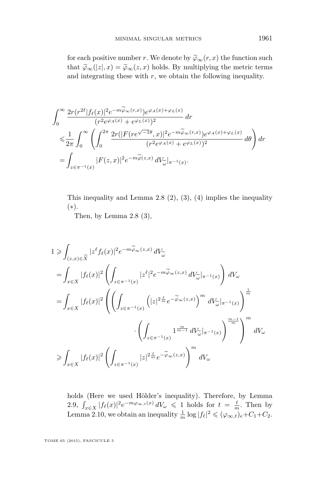for each positive number *r*. We denote by  $\widetilde{\varphi}_{\infty}(r, x)$  the function such that  $\widetilde{\varphi}_{\infty}(|z|,x) = \widetilde{\varphi}_{\infty}(z,x)$  holds. By multiplying the metric terms and integrating these with  $r$ , we obtain the following inequality.

$$
\int_0^\infty \frac{2r(r^{2\ell}|f_\ell(x)|^2 e^{-m\widetilde{\varphi}_\infty(r,x)})e^{\varphi_A(x)+\varphi_L(x)}}{(r^2 e^{\varphi_A(x)}+e^{\varphi_L(x)})^2} dr
$$
\n
$$
\leq \frac{1}{2\pi} \int_0^\infty \left( \int_0^{2\pi} \frac{2r(|F(re^{\sqrt{-1}\theta},x)|^2 e^{-m\widetilde{\varphi}_\infty(r,x)})e^{\varphi_A(x)+\varphi_L(x)}}{(r^2 e^{\varphi_A(x)}+e^{\varphi_L(x)})^2} d\theta \right) dr
$$
\n
$$
= \int_{z \in \pi^{-1}(x)} |F(z,x)|^2 e^{-m\widetilde{\varphi}(z,x)} dV_{\widetilde{\omega}}|_{\pi^{-1}(x)}.
$$

This inequality and Lemma [2.8](#page-6-0)  $(2)$ ,  $(3)$ ,  $(4)$  implies the inequality (∗).

Then, by Lemma [2.8](#page-6-0) (3),

$$
1 \geqslant \int_{(z,x)\in \widetilde{X}} |z^{\ell} f_{\ell}(x)|^{2} e^{-m\widetilde{\varphi}_{\infty}(z,x)} dV_{\widetilde{\omega}}
$$
\n
$$
= \int_{x\in X} |f_{\ell}(x)|^{2} \left( \int_{z\in \pi^{-1}(x)} |z^{\ell}|^{2} e^{-m\widetilde{\varphi}_{\infty}(z,x)} dV_{\widetilde{\omega}}|_{\pi^{-1}(x)} \right) dV_{\omega}
$$
\n
$$
= \int_{x\in X} |f_{\ell}(x)|^{2} \left( \left( \int_{z\in \pi^{-1}(x)} \left( |z|^{2\frac{\ell}{m}} e^{-\widetilde{\varphi}_{\infty}(z,x)} \right)^{m} dV_{\widetilde{\omega}}|_{\pi^{-1}(x)} \right)^{\frac{1}{m}} \right.
$$
\n
$$
\cdot \left( \int_{z\in \pi^{-1}(x)} 1^{\frac{m}{m-1}} dV_{\widetilde{\omega}}|_{\pi^{-1}(x)} \right)^{\frac{m-1}{m}} \right)^{m} dV_{\omega}
$$
\n
$$
\geqslant \int_{x\in X} |f_{\ell}(x)|^{2} \left( \int_{z\in \pi^{-1}(x)} |z|^{2\frac{\ell}{m}} e^{-\widetilde{\varphi}_{\infty}(z,x)} \right)^{m} dV_{\omega}
$$

holds (Here we used Hölder's inequality). Therefore, by Lemma [2.9,](#page-7-0)  $\int_{x \in X} |f_{\ell}(x)|^2 e^{-m\varphi_{\infty,t}(x)} dV_{\omega} \leq 1$  holds for  $t = \frac{\ell}{m}$ . Then by Lemma [2.10,](#page-7-0) we obtain an inequality  $\frac{1}{m} \log |f_{\ell}|^2 \leqslant (\varphi_{\infty,t})_e + C_1 + C_2$ .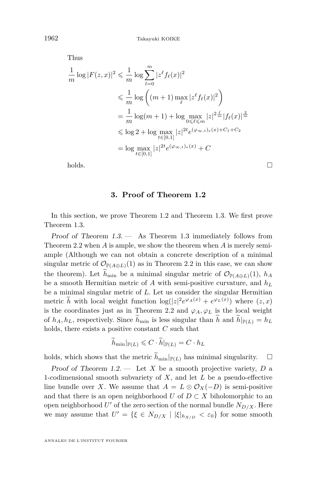Thus  
\n
$$
\frac{1}{m} \log |F(z, x)|^2 \leq \frac{1}{m} \log \sum_{l=0}^m |z^{\ell} f_{\ell}(x)|^2
$$
\n
$$
\leq \frac{1}{m} \log \left( (m+1) \max_{\ell} |z^{\ell} f_{\ell}(x)|^2 \right)
$$
\n
$$
= \frac{1}{m} \log (m+1) + \log \max_{0 \leq \ell \leq m} |z|^2 \frac{e}{m} |f_{\ell}(x)|^{\frac{2}{m}}
$$
\n
$$
\leq \log 2 + \log \max_{t \in [0, 1]} |z|^{2t} e^{(\varphi_{\infty, t}) e(x) + C_1 + C_2}
$$
\n
$$
= \log \max_{t \in [0, 1]} |z|^{2t} e^{(\varphi_{\infty, t}) e(x)} + C
$$

 $\Box$ holds.

Thus

**3. Proof of Theorem [1.2](#page-2-0)**

In this section, we prove Theorem [1.2](#page-2-0) and Theorem [1.3.](#page-3-0) We first prove Theorem [1.3.](#page-3-0)

Proof of Theorem [1.3.](#page-3-0) — As Theorem [1.3](#page-3-0) immediately follows from Theorem [2.2](#page-4-0) when *A* is ample, we show the theorem when *A* is merely semiample (Although we can not obtain a concrete description of a minimal singular metric of  $\mathcal{O}_{\mathbb{P}(A\oplus L)}(1)$  as in Theorem [2.2](#page-4-0) in this case, we can show the theorem). Let  $\tilde{h}_{\text{min}}$  be a minimal singular metric of  $\mathcal{O}_{\mathbb{P}(A\oplus L)}(1)$ ,  $h_A$ be a smooth Hermitian metric of *A* with semi-positive curvature, and *h<sup>L</sup>* be a minimal singular metric of *L*. Let us consider the singular Hermitian metric *h* with local weight function  $\log(|z|^2 e^{\varphi_A(x)} + e^{\varphi_L(x)})$  where  $(z, x)$ is the coordinates just as in Theorem [2.2](#page-4-0) and  $\varphi_A, \varphi_L$  is the local weight of  $h_A, h_L$ , respectively. Since  $h_{\min}$  is less singular than  $\hat{h}$  and  $\hat{h}|_{\mathbb{P}(L)} = h_L$ holds, there exists a positive constant *C* such that

$$
\widetilde{h}_{\min}|_{\mathbb{P}(L)} \leqslant C \cdot \widetilde{h}|_{\mathbb{P}(L)} = C \cdot h_L
$$

holds, which shows that the metric  $\tilde{h}_{\min}|_{\mathbb{P}(L)}$  has minimal singularity.  $\square$ 

Proof of Theorem [1.2.](#page-2-0) — Let *X* be a smooth projective variety, *D* a 1-codimensional smooth subvariety of *X*, and let *L* be a pseudo-effective line bundle over *X*. We assume that  $A = L \otimes \mathcal{O}_X(-D)$  is semi-positive and that there is an open neighborhood *U* of  $D \subset X$  biholomorphic to an open neighborhood  $U'$  of the zero section of the normal bundle  $N_{D/X}$ . Here we may assume that  $U' = \{ \xi \in N_{D/X} \mid |\xi|_{h_{X/D}} < \varepsilon_0 \}$  for some smooth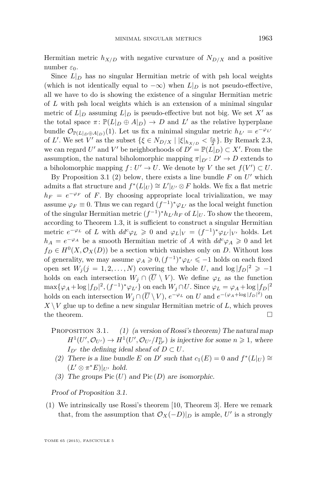Hermitian metric  $h_{X/D}$  with negative curvature of  $N_{D/X}$  and a positive number  $ε_0$ .

Since  $L|_D$  has no singular Hermitian metric of with psh local weights (which is not identically equal to  $-\infty$ ) when  $L|_D$  is not pseudo-effective, all we have to do is showing the existence of a singular Hermitian metric of *L* with psh local weights which is an extension of a minimal singular metric of  $L|_D$  assuming  $L|_D$  is pseudo-effective but not big. We set X' as the total space  $\pi$ :  $\mathbb{P}(L|_D \oplus A|_D) \to D$  and  $L'$  as the relative hyperplane bundle  $\mathcal{O}_{\mathbb{P}(L|_D \oplus A|_D)}(1)$ . Let us fix a minimal singular metric  $h_{L'} = e^{-\varphi_{L'}}$ of *L'*. We set *V'* as the subset  $\{\xi \in N_{D/X} \mid |\xi|_{h_{X/D}} < \frac{\varepsilon_0}{2}\}$ . By Remark [2.3,](#page-4-0) we can regard  $U'$  and  $V'$  be neighborhoods of  $D' = \mathbb{P}(L|_D) \subset X'$ . From the assumption, the natural biholomorphic mapping  $\pi|_{D'}: D' \to D$  extends to a biholomorphic mapping  $f: U' \to U$ . We denote by *V* the set  $f(V') \subset U$ .

By Proposition [3.1](#page-0-0) (2) below, there exists a line bundle  $F$  on  $U'$  which admits a flat structure and  $f^*(L|_U) \cong L'|_{U'} \otimes F$  holds. We fix a flat metric  $h_F = e^{-\varphi_F}$  of *F*. By choosing appropriate local trivialization, we may assume  $\varphi_F \equiv 0$ . Thus we can regard  $(f^{-1})^* \varphi_{L'}$  as the local weight function of the singular Hermitian metric  $(f^{-1})^* h_L h_F$  of  $L|_U$ . To show the theorem, according to Theorem [1.3,](#page-3-0) it is sufficient to construct a singular Hermitian metric  $e^{-\varphi_L}$  of *L* with  $dd^c \varphi_L \geq 0$  and  $\varphi_L|_V = (f^{-1})^* \varphi_{L'}|_{V'}$  holds. Let  $h_A = e^{-\varphi_A}$  be a smooth Hermitian metric of *A* with  $dd^c \varphi_A \geq 0$  and let  $f_D \in H^0(X, \mathcal{O}_X(D))$  be a section which vanishes only on *D*. Without loss of generality, we may assume  $\varphi_A \geqslant 0$ ,  $(f^{-1})^* \varphi_{L'} \leqslant -1$  holds on each fixed open set  $W_j$  (*j* = 1, 2, ..., *N*) covering the whole *U*, and  $\log |f_D|^2 \geq -1$ holds on each intersection  $W_j \cap (\overline{U} \setminus V)$ . We define  $\varphi_L$  as the function  $\max{\{\varphi_A + \log |f_D|^2, (f^{-1})^* \varphi_{L'}}\}$  on each  $W_j \cap U$ . Since  $\varphi_L = \varphi_A + \log |f_D|^2$ holds on each intersection  $W_j \cap (\overline{U} \setminus V)$ ,  $e^{-\varphi_L}$  on  $U$  and  $e^{-(\varphi_A + \log |f_D|^2)}$  on  $X \setminus V$  glue up to define a new singular Hermitian metric of *L*, which proves the theorem.  $\Box$ 

- PROPOSITION 3.1.  $(1)$  (a version of Rossi's theorem) The natural map  $H^1(U', \mathcal{O}_{U'}) \to H^1(U', \mathcal{O}_{U'}/I_{D'}^n)$  is injective for some  $n \geq 1$ , where  $I_{D'}$  the defining ideal sheaf of  $D \subset U$ .
- (2) There is a line bundle *E* on *D'* such that  $c_1(E) = 0$  and  $f^*(L|_U) \cong$  $(L' \otimes \pi^*E)|_{U'}$  hold.
- (3) The groups Pic (*U*) and Pic (*D*) are isomorphic.

Proof of Proposition [3.1.](#page-0-0)

(1) We intrinsically use Rossi's theorem [\[10,](#page-15-0) Theorem 3]. Here we remark that, from the assumption that  $\mathcal{O}_X(-D)|_D$  is ample, *U'* is a strongly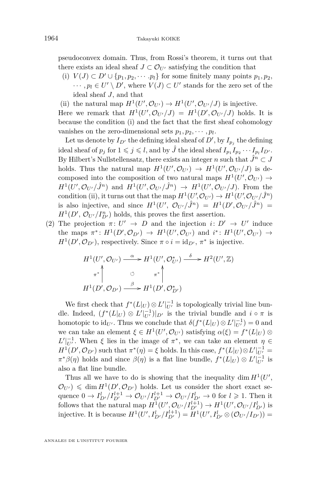pseudoconvex domain. Thus, from Rossi's theorem, it turns out that there exists an ideal sheaf  $J \subset \mathcal{O}_{U'}$  satisfying the condition that

(i)  $V(J) \subset D' \cup \{p_1, p_2, \cdots, p_l\}$  for some finitely many points  $p_1, p_2$ ,  $\cdots$ ,  $p_l \in U' \setminus D'$ , where  $V(J) \subset U'$  stands for the zero set of the ideal sheaf *J*, and that

(ii) the natural map  $H^1(U', \mathcal{O}_{U'}) \to H^1(U', \mathcal{O}_{U'}/J)$  is injective.

Here we remark that  $H^1(U', \mathcal{O}_{U'}/J) = H^1(D', \mathcal{O}_{U'}/J)$  holds. It is because the condition (i) and the fact that the first sheaf cohomology vanishes on the zero-dimensional sets  $p_1, p_2, \cdots, p_l$ .

Let us denote by  $I_{D'}$  the defining ideal sheaf of  $D'$ , by  $I_{p_j}$  the defining  $i$  ideal sheaf of  $p_j$  for  $1 \leqslant j \leqslant l$ , and by  $\hat{J}$  the ideal sheaf  $I_{p_1}I_{p_2}\cdots I_{p_l}I_{D'}$ . By Hilbert's Nullstellensatz, there exists an integer *n* such that  $\hat{J}^n \subset J$ holds. Thus the natural map  $H^1(U', \mathcal{O}_{U'}) \to H^1(U', \mathcal{O}_{U'}/J)$  is decomposed into the composition of two natural maps  $H^1(U', \mathcal{O}_{U'}) \to$  $H^1(U', \mathcal{O}_{U'}/\hat{J}^n)$  and  $H^1(U', \mathcal{O}_{U'}/\hat{J}^n) \to H^1(U', \mathcal{O}_{U'}/J)$ . From the condition (ii), it turns out that the map  $H^1(U', \mathcal{O}_{U'}) \to H^1(U', \mathcal{O}_{U'}/\hat{J}^n)$ is also injective, and since  $H^1(U', \mathcal{O}_{U'}/\hat{J}^n) = H^1(D', \mathcal{O}_{U'}/\hat{J}^n) =$  $H^1(D', \mathcal{O}_{U'}/I_{D'}^n)$  holds, this proves the first assertion.

(2) The projection  $\pi: U' \to D$  and the injection  $i: D' \to U'$  induce the maps  $\pi^*: H^1(D', \mathcal{O}_{D'}) \to H^1(U', \mathcal{O}_{U'})$  and  $i^*: H^1(U', \mathcal{O}_{U'}) \to$  $H^1(D', \mathcal{O}_{D'})$ , respectively. Since  $\pi \circ i = id_{D'}$ ,  $\pi^*$  is injective.

$$
H^1(U', \mathcal{O}_{U'}) \xrightarrow{\alpha} H^1(U', \mathcal{O}_{U'}^*) \xrightarrow{\delta} H^2(U', \mathbb{Z})
$$
  
\n
$$
\pi^* \uparrow \qquad \circ \qquad \pi^* \uparrow
$$
  
\n
$$
H^1(D', \mathcal{O}_{D'}) \xrightarrow{\beta} H^1(D', \mathcal{O}_{D'}^*)
$$

We first check that  $f^*(L|_U) \otimes L'|_{U'}^{-1}$  is topologically trivial line bundle. Indeed,  $(f^*(L|_U) \otimes L'|_{U'}^{-1})|_{D'}$  is the trivial bundle and  $i \circ \pi$  is homotopic to  $\mathrm{id}_{U'}$ . Thus we conclude that  $\delta(f^*(L|_U) \otimes L'|_{U'}^{-1}) = 0$  and we can take an element  $\xi \in H^1(U', \mathcal{O}_{U'})$  satisfying  $\alpha(\xi) = f^*(L|_U) \otimes$ *L*<sup> $\vert$ </sup>*U*<sup> $\vert$ </sup>*U*<sup> $\vert$ </sup> *τ*</sub> *Σ V* . When *ξ* lies in the image of  $π$ <sup>\*</sup>, we can take an element *η* ∈  $H^1(D', \mathcal{O}_{D'})$  such that  $\pi^*(\eta) = \xi$  holds. In this case,  $f^*(L|_U) \otimes L'|_{U'}^{-1} =$  $\pi^* \beta(\eta)$  holds and since  $\beta(\eta)$  is a flat line bundle,  $f^*(L|_U) \otimes L'|_{U'}^{-1}$  is also a flat line bundle.

Thus all we have to do is showing that the inequality dim  $H^1(U',\mathbb{R})$  $\mathcal{O}_{U'}$ )  $\leq$  dim  $H^1(D', \mathcal{O}_{D'})$  holds. Let us consider the short exact sequence  $0 \to I_{D'}^l/I_{D'}^{l+1} \to \mathcal{O}_{U'}/I_{D'}^{l+1} \to \mathcal{O}_{U'}/I_{D'}^l \to 0$  for  $l \geq 1$ . Then it follows that the natural map  $H^1(U', \mathcal{O}_{U'}/I_{D'}^{l+1}) \to H^1(U', \mathcal{O}_{U'}/I_{D'}^l)$  is injective. It is because  $H^1(U', I^l_{D'}/I^{l+1}_{D'}) = H^1(U', I^l_{D'} \otimes (\mathcal{O}_{U'}/I_{D'})) =$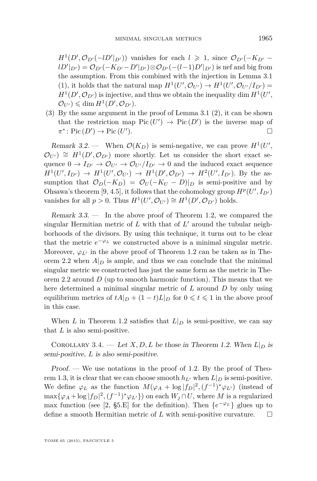<span id="page-13-0"></span> $H^1(D', \mathcal{O}_{D'}(-lD'|_{D'}))$  vanishes for each  $l \geq 1$ , since  $\mathcal{O}_{D'}(-K_{D'}-1)$  $lD'|_{D'}$ ) =  $\mathcal{O}_{D'}(-K_{D'}-D'|_{D'})\otimes\mathcal{O}_{D'}(-(l-1)D'|_{D'})$  is nef and big from the assumption. From this combined with the injection in Lemma [3.1](#page-0-0) (1), it holds that the natural map  $H^1(U', \mathcal{O}_{U'}) \to H^1(U', \mathcal{O}_{U'}/I_{D'}) =$  $H^1(D', \mathcal{O}_{D'})$  is injective, and thus we obtain the inequality dim  $H^1(U', \mathcal{O}_{D'})$  $\mathcal{O}_{U'}$ )  $\leqslant$  dim  $H^1(D', \mathcal{O}_{D'})$ .

(3) By the same argument in the proof of Lemma [3.1](#page-0-0) (2), it can be shown that the restriction map  $Pic(U') \to Pic(D')$  is the inverse map of  $\pi^*$ : Pic  $(D') \to \text{Pic}(U')$  $\Box$ 

Remark 3.2. – When  $\mathcal{O}(K_D)$  is semi-negative, we can prove  $H^1(U',\mathcal{O})$  $\mathcal{O}_{U'}$   $\cong$   $H^1(D', \mathcal{O}_{D'})$  more shortly. Let us consider the short exact sequence  $0 \to I_{D'} \to \mathcal{O}_{U'} \to \mathcal{O}_{U'}/I_{D'} \to 0$  and the induced exact sequence  $H^1(U', I_{D'}) \to H^1(U', \mathcal{O}_{U'}) \to H^1(D', \mathcal{O}_{D'}) \to H^2(U', I_{D'})$ . By the assumption that  $\mathcal{O}_D(-K_D) = \mathcal{O}_U(-K_U - D)|_D$  is semi-positive and by Ohsawa's theorem [\[9,](#page-15-0) 4.5], it follows that the cohomology group  $H^p(U', I_{D'})$ vanishes for all  $p > 0$ . Thus  $H^1(U', \mathcal{O}_{U'}) \cong H^1(D', \mathcal{O}_{D'})$  holds.

Remark 3.3. — In the above proof of Theorem [1.2,](#page-2-0) we compared the singular Hermitian metric of  $L$  with that of  $L'$  around the tubular neighborhoods of the divisors. By using this technique, it turns out to be clear that the metric  $e^{-\varphi_L}$  we constructed above is a minimal singular metric. Moreover,  $\varphi_{L'}$  in the above proof of Theorem [1.2](#page-2-0) can be taken as in The-orem [2.2](#page-4-0) when  $A|_D$  is ample, and thus we can conclude that the minimal singular metric we constructed has just the same form as the metric in Theorem [2.2](#page-4-0) around *D* (up to smooth harmonic function). This means that we here determined a minimal singular metric of *L* around *D* by only using equilibrium metrics of  $tA|_D + (1-t)L|_D$  for  $0 \le t \le 1$  in the above proof in this case.

When *L* in Theorem [1.2](#page-2-0) satisfies that  $L|_D$  is semi-positive, we can say that *L* is also semi-positive.

COROLLARY 3.4. — Let *X*, *D*, *L* be those in Theorem [1.2.](#page-2-0) When  $L|_D$  is semi-positive, *L* is also semi-positive.

 $Proof.$  — We use notations in the proof of [1.2.](#page-2-0) By the proof of Theo-rem [1.3,](#page-3-0) it is clear that we can choose smooth  $h_L$  when  $L|_D$  is semi-positive. We define  $\varphi_L$  as the function  $M(\varphi_A + \log |f_D|^2, (f^{-1})^* \varphi_{L'})$  (instead of  $\max{\{\varphi_A + \log |f_D|^2, (f^{-1})^* \varphi_{L'}\}}$  on each  $W_j \cap U$ , where *M* is a regularized max function (see [\[2,](#page-15-0) §5.E] for the definition). Then  ${e^{-\varphi_L}}$  glues up to define a smooth Hermitian metric of  $L$  with semi-positive curvature.  $\Box$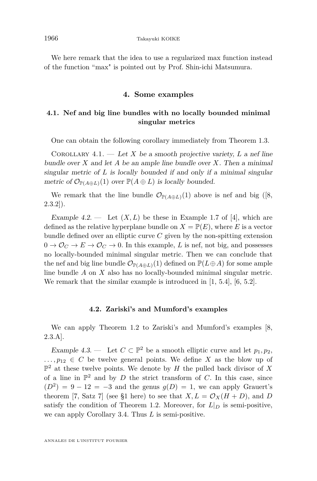<span id="page-14-0"></span>We here remark that the idea to use a regularized max function instead of the function "max" is pointed out by Prof. Shin-ichi Matsumura.

## **4. Some examples**

## **4.1. Nef and big line bundles with no locally bounded minimal singular metrics**

One can obtain the following corollary immediately from Theorem [1.3.](#page-3-0)

COROLLARY 4.1. — Let *X* be a smooth projective variety, *L* a nef line bundle over *X* and let *A* be an ample line bundle over *X*. Then a minimal singular metric of *L* is locally bounded if and only if a minimal singular metric of  $\mathcal{O}_{\mathbb{P}(A\oplus L)}(1)$  over  $\mathbb{P}(A\oplus L)$  is locally bounded.

We remark that the line bundle  $\mathcal{O}_{\mathbb{P}(A\oplus L)}(1)$  above is nef and big ([\[8,](#page-15-0)  $(2.3.2)$ .

Example 4.2.  $\qquad$  Let  $(X, L)$  be these in Example 1.7 of [\[4\]](#page-15-0), which are defined as the relative hyperplane bundle on  $X = \mathbb{P}(E)$ , where *E* is a vector bundle defined over an elliptic curve *C* given by the non-spitting extension  $0 \to \mathcal{O}_C \to E \to \mathcal{O}_C \to 0$ . In this example, *L* is nef, not big, and possesses no locally-bounded minimal singular metric. Then we can conclude that the nef and big line bundle  $\mathcal{O}_{\mathbb{P}(A\oplus L)}(1)$  defined on  $\mathbb{P}(L\oplus A)$  for some ample line bundle *A* on *X* also has no locally-bounded minimal singular metric. We remark that the similar example is introduced in [\[1,](#page-15-0) 5.4], [\[6,](#page-15-0) 5.2].

#### **4.2. Zariski's and Mumford's examples**

We can apply Theorem [1.2](#page-2-0) to Zariski's and Mumford's examples [\[8,](#page-15-0) 2.3.A].

Example 4.3. — Let  $C \subset \mathbb{P}^2$  be a smooth elliptic curve and let  $p_1, p_2$ ,  $\ldots, p_{12} \in C$  be twelve general points. We define X as the blow up of  $\mathbb{P}^2$  at these twelve points. We denote by *H* the pulled back divisor of *X* of a line in  $\mathbb{P}^2$  and by *D* the strict transform of *C*. In this case, since  $(D^2) = 9 - 12 = -3$  and the genus  $g(D) = 1$ , we can apply Grauert's theorem [\[7,](#page-15-0) Satz 7] (see §1 here) to see that  $X, L = \mathcal{O}_X(H+D)$ , and *D* satisfy the condition of Theorem [1.2.](#page-2-0) Moreover, for  $L|_D$  is semi-positive, we can apply Corollary [3.4.](#page-13-0) Thus *L* is semi-positive.